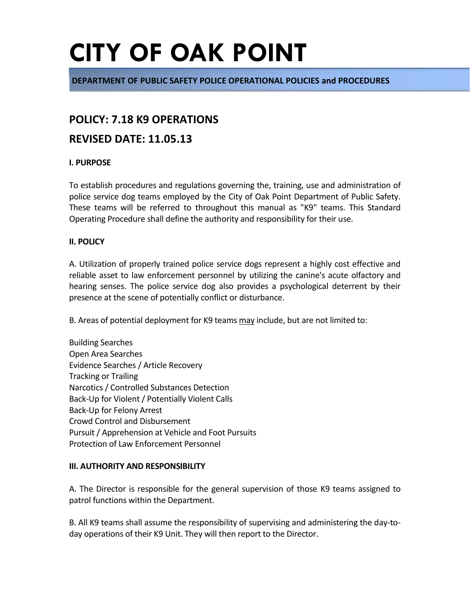**DEPARTMENT OF PUBLIC SAFETY POLICE OPERATIONAL POLICIES and PROCEDURES**

### **POLICY: 7.18 K9 OPERATIONS**

### **REVISED DATE: 11.05.13**

#### **I. PURPOSE**

To establish procedures and regulations governing the, training, use and administration of police service dog teams employed by the City of Oak Point Department of Public Safety. These teams will be referred to throughout this manual as "K9" teams. This Standard Operating Procedure shall define the authority and responsibility for their use.

#### **II. POLICY**

A. Utilization of properly trained police service dogs represent a highly cost effective and reliable asset to law enforcement personnel by utilizing the canine's acute olfactory and hearing senses. The police service dog also provides a psychological deterrent by their presence at the scene of potentially conflict or disturbance.

B. Areas of potential deployment for K9 teams may include, but are not limited to:

Building Searches Open Area Searches Evidence Searches / Article Recovery Tracking or Trailing Narcotics / Controlled Substances Detection Back-Up for Violent / Potentially Violent Calls Back-Up for Felony Arrest Crowd Control and Disbursement Pursuit / Apprehension at Vehicle and Foot Pursuits Protection of Law Enforcement Personnel

#### **III. AUTHORITY AND RESPONSIBILITY**

A. The Director is responsible for the general supervision of those K9 teams assigned to patrol functions within the Department.

B. All K9 teams shall assume the responsibility of supervising and administering the day-today operations of their K9 Unit. They will then report to the Director.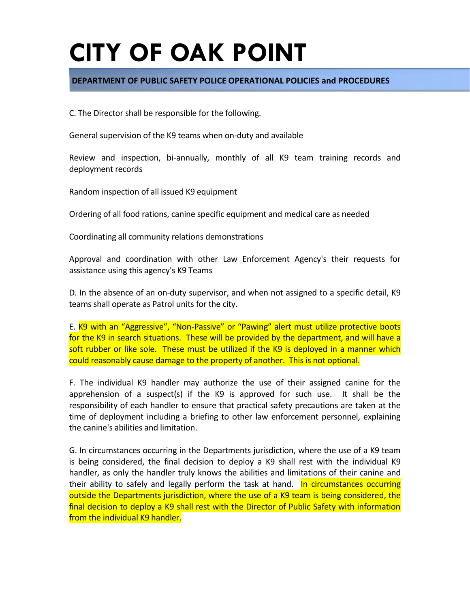#### **DEPARTMENT OF PUBLIC SAFETY POLICE OPERATIONAL POLICIES and PROCEDURES**

C. The Director shall be responsible for the following.

General supervision of the K9 teams when on-duty and available

Review and inspection, bi-annually, monthly of all K9 team training records and deployment records

Random inspection of all issued K9 equipment

Ordering of all food rations, canine specific equipment and medical care as needed

Coordinating all community relations demonstrations

Approval and coordination with other Law Enforcement Agency's their requests for assistance using this agency's K9 Teams

D. In the absence of an on-duty supervisor, and when not assigned to a specific detail, K9 teams shall operate as Patrol units for the city.

E. K9 with an "Aggressive", "Non-Passive" or "Pawing" alert must utilize protective boots for the K9 in search situations. These will be provided by the department, and will have a soft rubber or like sole. These must be utilized if the K9 is deployed in a manner which could reasonably cause damage to the property of another. This is not optional.

F. The individual K9 handler may authorize the use of their assigned canine for the apprehension of a suspect(s) if the K9 is approved for such use. It shall be the responsibility of each handler to ensure that practical safety precautions are taken at the time of deployment including a briefing to other law enforcement personnel, explaining the canine's abilities and limitation.

G. In circumstances occurring in the Departments jurisdiction, where the use of a K9 team is being considered, the final decision to deploy a K9 shall rest with the individual K9 handler, as only the handler truly knows the abilities and limitations of their canine and their ability to safely and legally perform the task at hand. In circumstances occurring outside the Departments jurisdiction, where the use of a K9 team is being considered, the final decision to deploy a K9 shall rest with the Director of Public Safety with information from the individual K9 handler.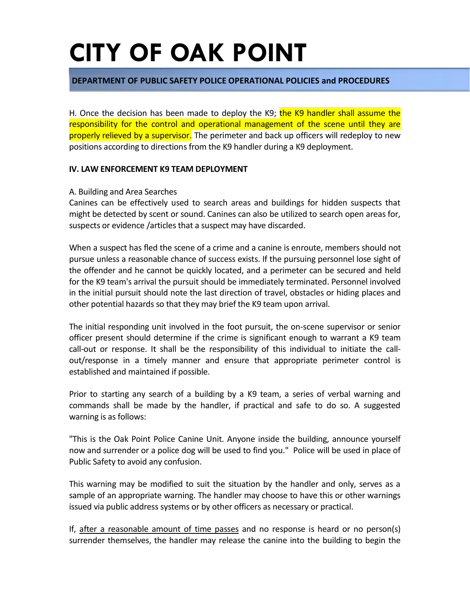#### **DEPARTMENT OF PUBLIC SAFETY POLICE OPERATIONAL POLICIES and PROCEDURES**

H. Once the decision has been made to deploy the K9; the K9 handler shall assume the responsibility for the control and operational management of the scene until they are properly relieved by a supervisor. The perimeter and back up officers will redeploy to new positions according to directions from the K9 handler during a K9 deployment.

#### **IV. LAW ENFORCEMENT K9 TEAM DEPLOYMENT**

#### A. Building and Area Searches

Canines can be effectively used to search areas and buildings for hidden suspects that might be detected by scent or sound. Canines can also be utilized to search open areas for, suspects or evidence /articles that a suspect may have discarded.

When a suspect has fled the scene of a crime and a canine is enroute, members should not pursue unless a reasonable chance of success exists. If the pursuing personnel lose sight of the offender and he cannot be quickly located, and a perimeter can be secured and held for the K9 team's arrival the pursuit should be immediately terminated. Personnel involved in the initial pursuit should note the last direction of travel, obstacles or hiding places and other potential hazards so that they may brief the K9 team upon arrival.

The initial responding unit involved in the foot pursuit, the on-scene supervisor or senior officer present should determine if the crime is significant enough to warrant a K9 team call-out or response. It shall be the responsibility of this individual to initiate the callout/response in a timely manner and ensure that appropriate perimeter control is established and maintained if possible.

Prior to starting any search of a building by a K9 team, a series of verbal warning and commands shall be made by the handler, if practical and safe to do so. A suggested warning is as follows:

"This is the Oak Point Police Canine Unit. Anyone inside the building, announce yourself now and surrender or a police dog will be used to find you." Police will be used in place of Public Safety to avoid any confusion.

This warning may be modified to suit the situation by the handler and only, serves as a sample of an appropriate warning. The handler may choose to have this or other warnings issued via public address systems or by other officers as necessary or practical.

If, after a reasonable amount of time passes and no response is heard or no person(s) surrender themselves, the handler may release the canine into the building to begin the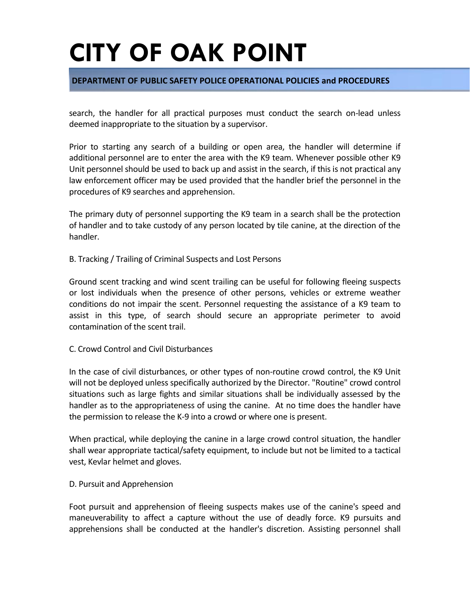#### **DEPARTMENT OF PUBLIC SAFETY POLICE OPERATIONAL POLICIES and PROCEDURES**

search, the handler for all practical purposes must conduct the search on-lead unless deemed inappropriate to the situation by a supervisor.

Prior to starting any search of a building or open area, the handler will determine if additional personnel are to enter the area with the K9 team. Whenever possible other K9 Unit personnel should be used to back up and assist in the search, if this is not practical any law enforcement officer may be used provided that the handler brief the personnel in the procedures of K9 searches and apprehension.

The primary duty of personnel supporting the K9 team in a search shall be the protection of handler and to take custody of any person located by tile canine, at the direction of the handler.

#### B. Tracking / Trailing of Criminal Suspects and Lost Persons

Ground scent tracking and wind scent trailing can be useful for following fleeing suspects or lost individuals when the presence of other persons, vehicles or extreme weather conditions do not impair the scent. Personnel requesting the assistance of a K9 team to assist in this type, of search should secure an appropriate perimeter to avoid contamination of the scent trail.

#### C. Crowd Control and Civil Disturbances

In the case of civil disturbances, or other types of non-routine crowd control, the K9 Unit will not be deployed unless specifically authorized by the Director. "Routine" crowd control situations such as large fights and similar situations shall be individually assessed by the handler as to the appropriateness of using the canine. At no time does the handler have the permission to release the K-9 into a crowd or where one is present.

When practical, while deploying the canine in a large crowd control situation, the handler shall wear appropriate tactical/safety equipment, to include but not be limited to a tactical vest, Kevlar helmet and gloves.

#### D. Pursuit and Apprehension

Foot pursuit and apprehension of fleeing suspects makes use of the canine's speed and maneuverability to affect a capture without the use of deadly force. K9 pursuits and apprehensions shall be conducted at the handler's discretion. Assisting personnel shall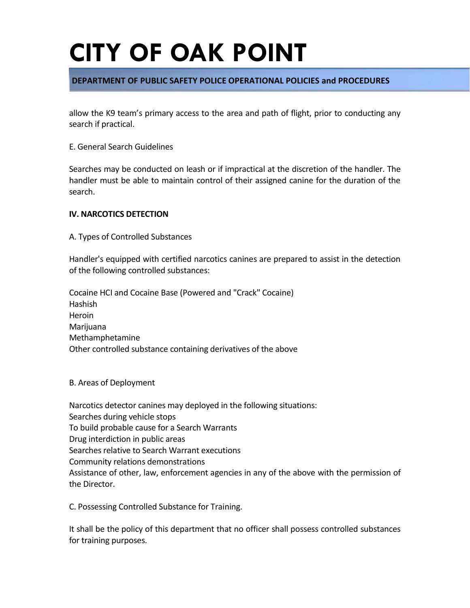#### **DEPARTMENT OF PUBLIC SAFETY POLICE OPERATIONAL POLICIES and PROCEDURES**

allow the K9 team's primary access to the area and path of flight, prior to conducting any search if practical.

#### E. General Search Guidelines

Searches may be conducted on leash or if impractical at the discretion of the handler. The handler must be able to maintain control of their assigned canine for the duration of the search.

#### **IV. NARCOTICS DETECTION**

A. Types of Controlled Substances

Handler's equipped with certified narcotics canines are prepared to assist in the detection of the following controlled substances:

Cocaine HCI and Cocaine Base (Powered and "Crack" Cocaine) Hashish Heroin Marijuana Methamphetamine Other controlled substance containing derivatives of the above

B. Areas of Deployment

Narcotics detector canines may deployed in the following situations: Searches during vehicle stops To build probable cause for a Search Warrants Drug interdiction in public areas Searches relative to Search Warrant executions Community relations demonstrations Assistance of other, law, enforcement agencies in any of the above with the permission of the Director.

C. Possessing Controlled Substance for Training.

It shall be the policy of this department that no officer shall possess controlled substances for training purposes.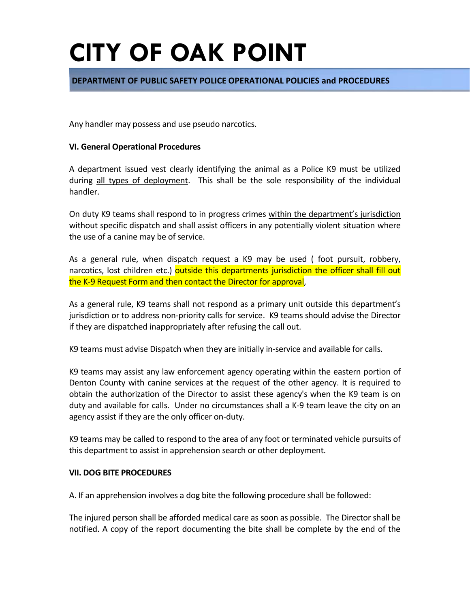#### **DEPARTMENT OF PUBLIC SAFETY POLICE OPERATIONAL POLICIES and PROCEDURES**

Any handler may possess and use pseudo narcotics.

#### **VI. General Operational Procedures**

A department issued vest clearly identifying the animal as a Police K9 must be utilized during all types of deployment. This shall be the sole responsibility of the individual handler.

On duty K9 teams shall respond to in progress crimes within the department's jurisdiction without specific dispatch and shall assist officers in any potentially violent situation where the use of a canine may be of service.

As a general rule, when dispatch request a K9 may be used ( foot pursuit, robbery, narcotics, lost children etc.) outside this departments jurisdiction the officer shall fill out the K-9 Request Form and then contact the Director for approval,

As a general rule, K9 teams shall not respond as a primary unit outside this department's jurisdiction or to address non-priority calls for service. K9 teams should advise the Director if they are dispatched inappropriately after refusing the call out.

K9 teams must advise Dispatch when they are initially in-service and available for calls.

K9 teams may assist any law enforcement agency operating within the eastern portion of Denton County with canine services at the request of the other agency. It is required to obtain the authorization of the Director to assist these agency's when the K9 team is on duty and available for calls. Under no circumstances shall a K-9 team leave the city on an agency assist if they are the only officer on-duty.

K9 teams may be called to respond to the area of any foot or terminated vehicle pursuits of this department to assist in apprehension search or other deployment.

#### **VII. DOG BITE PROCEDURES**

A. If an apprehension involves a dog bite the following procedure shall be followed:

The injured person shall be afforded medical care as soon as possible. The Director shall be notified. A copy of the report documenting the bite shall be complete by the end of the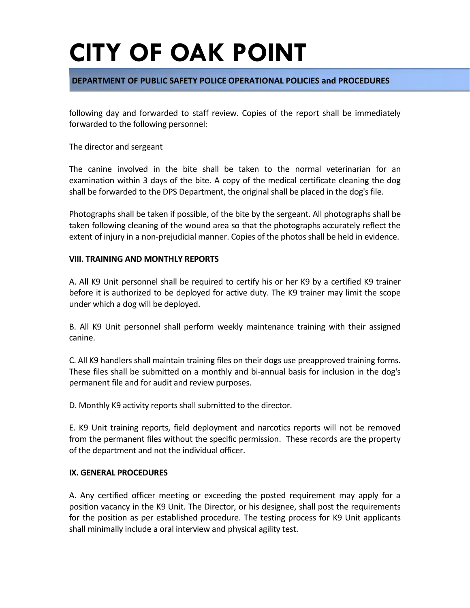#### **DEPARTMENT OF PUBLIC SAFETY POLICE OPERATIONAL POLICIES and PROCEDURES**

following day and forwarded to staff review. Copies of the report shall be immediately forwarded to the following personnel:

The director and sergeant

The canine involved in the bite shall be taken to the normal veterinarian for an examination within 3 days of the bite. A copy of the medical certificate cleaning the dog shall be forwarded to the DPS Department, the original shall be placed in the dog's file.

Photographs shall be taken if possible, of the bite by the sergeant. All photographs shall be taken following cleaning of the wound area so that the photographs accurately reflect the extent of injury in a non-prejudicial manner. Copies of the photos shall be held in evidence.

#### **VIII. TRAINING AND MONTHLY REPORTS**

A. All K9 Unit personnel shall be required to certify his or her K9 by a certified K9 trainer before it is authorized to be deployed for active duty. The K9 trainer may limit the scope under which a dog will be deployed.

B. All K9 Unit personnel shall perform weekly maintenance training with their assigned canine.

C. All K9 handlers shall maintain training files on their dogs use preapproved training forms. These files shall be submitted on a monthly and bi-annual basis for inclusion in the dog's permanent file and for audit and review purposes.

D. Monthly K9 activity reports shall submitted to the director.

E. K9 Unit training reports, field deployment and narcotics reports will not be removed from the permanent files without the specific permission. These records are the property of the department and not the individual officer.

#### **IX. GENERAL PROCEDURES**

A. Any certified officer meeting or exceeding the posted requirement may apply for a position vacancy in the K9 Unit. The Director, or his designee, shall post the requirements for the position as per established procedure. The testing process for K9 Unit applicants shall minimally include a oral interview and physical agility test.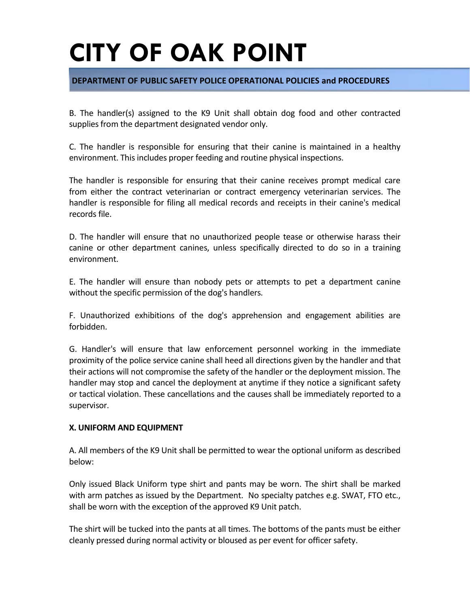#### **DEPARTMENT OF PUBLIC SAFETY POLICE OPERATIONAL POLICIES and PROCEDURES**

B. The handler(s) assigned to the K9 Unit shall obtain dog food and other contracted supplies from the department designated vendor only.

C. The handler is responsible for ensuring that their canine is maintained in a healthy environment. This includes proper feeding and routine physical inspections.

The handler is responsible for ensuring that their canine receives prompt medical care from either the contract veterinarian or contract emergency veterinarian services. The handler is responsible for filing all medical records and receipts in their canine's medical records file.

D. The handler will ensure that no unauthorized people tease or otherwise harass their canine or other department canines, unless specifically directed to do so in a training environment.

E. The handler will ensure than nobody pets or attempts to pet a department canine without the specific permission of the dog's handlers.

F. Unauthorized exhibitions of the dog's apprehension and engagement abilities are forbidden.

G. Handler's will ensure that law enforcement personnel working in the immediate proximity of the police service canine shall heed all directions given by the handler and that their actions will not compromise the safety of the handler or the deployment mission. The handler may stop and cancel the deployment at anytime if they notice a significant safety or tactical violation. These cancellations and the causes shall be immediately reported to a supervisor.

#### **X. UNIFORM AND EQUIPMENT**

A. All members of the K9 Unit shall be permitted to wear the optional uniform as described below:

Only issued Black Uniform type shirt and pants may be worn. The shirt shall be marked with arm patches as issued by the Department. No specialty patches e.g. SWAT, FTO etc., shall be worn with the exception of the approved K9 Unit patch.

The shirt will be tucked into the pants at all times. The bottoms of the pants must be either cleanly pressed during normal activity or bloused as per event for officer safety.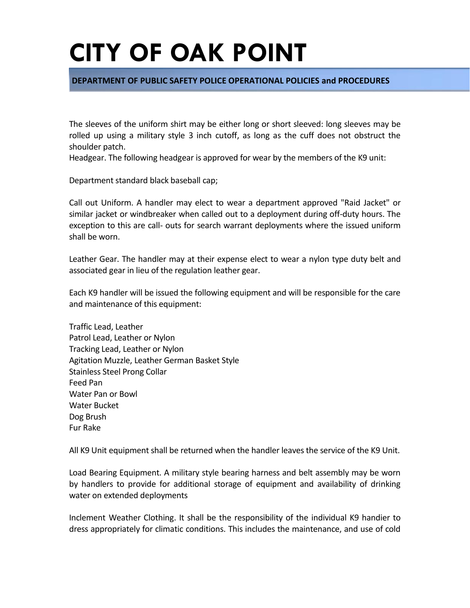#### **DEPARTMENT OF PUBLIC SAFETY POLICE OPERATIONAL POLICIES and PROCEDURES**

The sleeves of the uniform shirt may be either long or short sleeved: long sleeves may be rolled up using a military style 3 inch cutoff, as long as the cuff does not obstruct the shoulder patch.

Headgear. The following headgear is approved for wear by the members of the K9 unit:

Department standard black baseball cap;

Call out Uniform. A handler may elect to wear a department approved "Raid Jacket" or similar jacket or windbreaker when called out to a deployment during off-duty hours. The exception to this are call- outs for search warrant deployments where the issued uniform shall be worn.

Leather Gear. The handler may at their expense elect to wear a nylon type duty belt and associated gear in lieu of the regulation leather gear.

Each K9 handler will be issued the following equipment and will be responsible for the care and maintenance of this equipment:

Traffic Lead, Leather Patrol Lead, Leather or Nylon Tracking Lead, Leather or Nylon Agitation Muzzle, Leather German Basket Style Stainless Steel Prong Collar Feed Pan Water Pan or Bowl Water Bucket Dog Brush Fur Rake

All K9 Unit equipment shall be returned when the handler leaves the service of the K9 Unit.

Load Bearing Equipment. A military style bearing harness and belt assembly may be worn by handlers to provide for additional storage of equipment and availability of drinking water on extended deployments

Inclement Weather Clothing. It shall be the responsibility of the individual K9 handier to dress appropriately for climatic conditions. This includes the maintenance, and use of cold